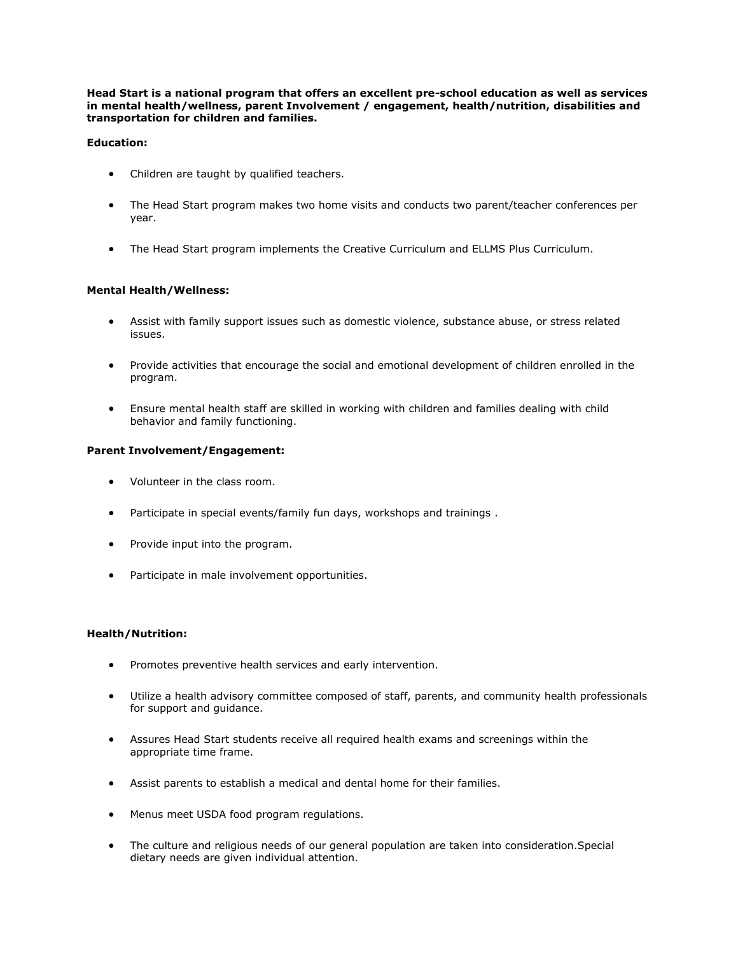**Head Start is a national program that offers an excellent pre-school education as well as services in mental health/wellness, parent Involvement / engagement, health/nutrition, disabilities and transportation for children and families.** 

# **Education:**

- Children are taught by qualified teachers.
- The Head Start program makes two home visits and conducts two parent/teacher conferences per year.
- The Head Start program implements the Creative Curriculum and ELLMS Plus Curriculum.

# **Mental Health/Wellness:**

- Assist with family support issues such as domestic violence, substance abuse, or stress related issues.
- Provide activities that encourage the social and emotional development of children enrolled in the program.
- Ensure mental health staff are skilled in working with children and families dealing with child behavior and family functioning.

#### **Parent Involvement/Engagement:**

- Volunteer in the class room.
- Participate in special events/family fun days, workshops and trainings .
- Provide input into the program.
- Participate in male involvement opportunities.

#### **Health/Nutrition:**

- Promotes preventive health services and early intervention.
- Utilize a health advisory committee composed of staff, parents, and community health professionals for support and guidance.
- Assures Head Start students receive all required health exams and screenings within the appropriate time frame.
- Assist parents to establish a medical and dental home for their families.
- Menus meet USDA food program regulations.
- The culture and religious needs of our general population are taken into consideration.Special dietary needs are given individual attention.